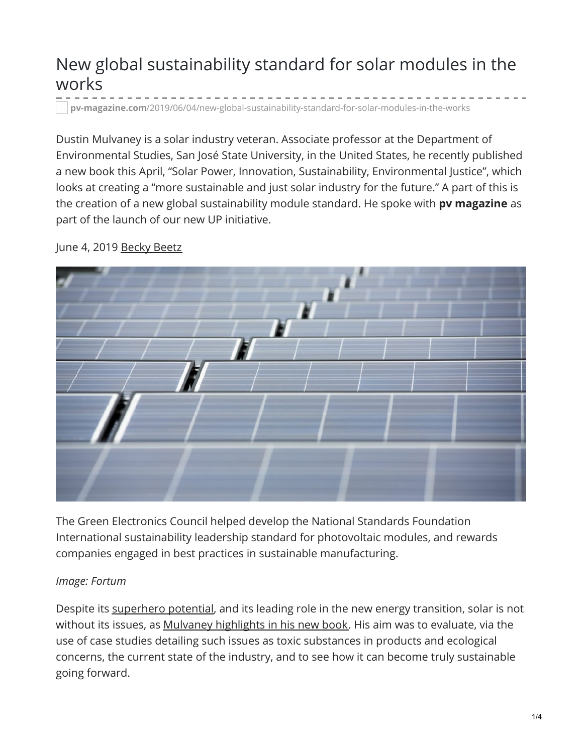# New global sustainability standard for solar modules in the works

**pv-magazine.com**[/2019/06/04/new-global-sustainability-standard-for-solar-modules-in-the-works](https://www.pv-magazine.com/2019/06/04/new-global-sustainability-standard-for-solar-modules-in-the-works/)

Dustin Mulvaney is a solar industry veteran. Associate professor at the Department of Environmental Studies, San José State University, in the United States, he recently published a new book this April, "Solar Power, Innovation, Sustainability, Environmental Justice", which looks at creating a "more sustainable and just solar industry for the future." A part of this is the creation of a new global sustainability module standard. He spoke with **pv magazine** as part of the launch of our new UP initiative.



June 4, 2019 [Becky](https://www.pv-magazine.com/author/beckybeetz/) Beetz

The Green Electronics Council helped develop the National Standards Foundation International sustainability leadership standard for photovoltaic modules, and rewards companies engaged in best practices in sustainable manufacturing.

#### *Image: Fortum*

Despite its [superhero](https://www.pv-magazine.com/2019/05/15/unstoppable-power/) potential, and its leading role in the new energy transition, solar is not without its issues, as Mulvaney [highlights](https://www.ucpress.edu/book/9780520288171/solar-power) in his new book. His aim was to evaluate, via the use of case studies detailing such issues as toxic substances in products and ecological concerns, the current state of the industry, and to see how it can become truly sustainable going forward.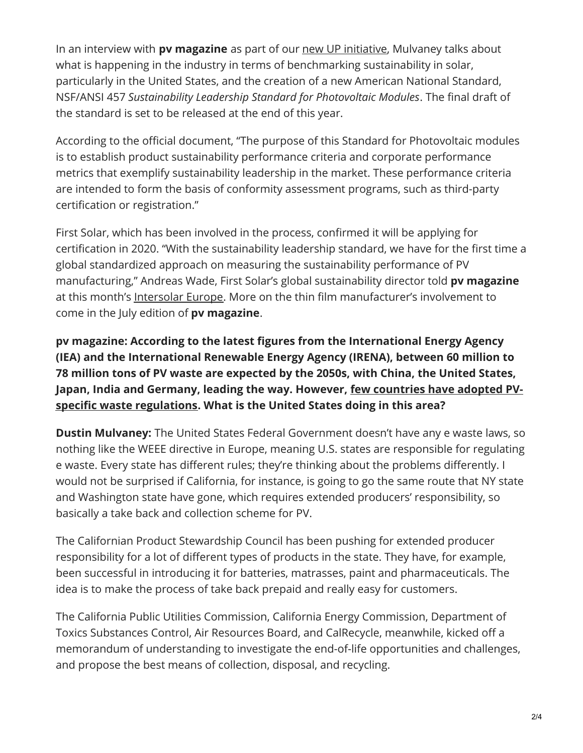In an interview with **pv magazine** as part of our new UP [initiative](https://www.pv-magazine.com/pv-magazine-events/pv-magazine-up/), Mulvaney talks about what is happening in the industry in terms of benchmarking sustainability in solar, particularly in the United States, and the creation of a new American National Standard, NSF/ANSI 457 *Sustainability Leadership Standard for Photovoltaic Modules*. The final draft of the standard is set to be released at the end of this year.

According to the official document, "The purpose of this Standard for Photovoltaic modules is to establish product sustainability performance criteria and corporate performance metrics that exemplify sustainability leadership in the market. These performance criteria are intended to form the basis of conformity assessment programs, such as third-party certification or registration."

First Solar, which has been involved in the process, confirmed it will be applying for certification in 2020. "With the sustainability leadership standard, we have for the first time a global standardized approach on measuring the sustainability performance of PV manufacturing," Andreas Wade, First Solar's global sustainability director told **pv magazine** at this month's [Intersolar](https://www.pv-magazine.com/category/pv-magazine-live/) Europe. More on the thin film manufacturer's involvement to come in the July edition of **pv magazine**.

**pv magazine: According to the latest figures from the International Energy Agency (IEA) and the International Renewable Energy Agency (IRENA), between 60 million to 78 million tons of PV waste are expected by the 2050s, with China, the United States, Japan, India and Germany, leading the way. However, few countries have adopted PVspecific waste [regulations.](https://www.pv-magazine.com/magazine-archive/the-sustainable-pioneers/) What is the United States doing in this area?**

**Dustin Mulvaney:** The United States Federal Government doesn't have any e waste laws, so nothing like the WEEE directive in Europe, meaning U.S. states are responsible for regulating e waste. Every state has different rules; they're thinking about the problems differently. I would not be surprised if California, for instance, is going to go the same route that NY state and Washington state have gone, which requires extended producers' responsibility, so basically a take back and collection scheme for PV.

The Californian Product Stewardship Council has been pushing for extended producer responsibility for a lot of different types of products in the state. They have, for example, been successful in introducing it for batteries, matrasses, paint and pharmaceuticals. The idea is to make the process of take back prepaid and really easy for customers.

The California Public Utilities Commission, California Energy Commission, Department of Toxics Substances Control, Air Resources Board, and CalRecycle, meanwhile, kicked off a memorandum of understanding to investigate the end-of-life opportunities and challenges, and propose the best means of collection, disposal, and recycling.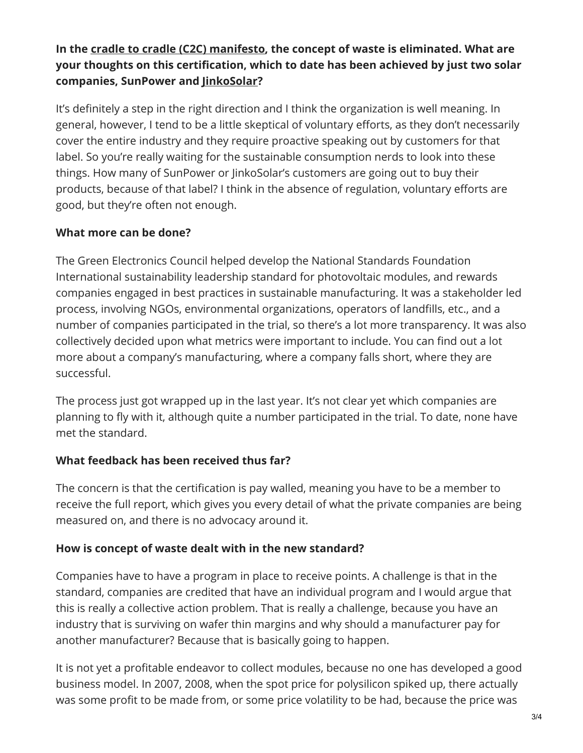## **In the cradle to cradle (C2C) [manifesto](https://www.pv-magazine.com/magazine-archive/reinventing-solar/), the concept of waste is eliminated. What are your thoughts on this certification, which to date has been achieved by just two solar companies, SunPower and [JinkoSolar](https://www.pv-magazine.com/2019/05/16/interview-jinkosolar-on-why-it-has-chosen-a-cradle-to-cradle-path/)?**

It's definitely a step in the right direction and I think the organization is well meaning. In general, however, I tend to be a little skeptical of voluntary efforts, as they don't necessarily cover the entire industry and they require proactive speaking out by customers for that label. So you're really waiting for the sustainable consumption nerds to look into these things. How many of SunPower or JinkoSolar's customers are going out to buy their products, because of that label? I think in the absence of regulation, voluntary efforts are good, but they're often not enough.

### **What more can be done?**

The Green Electronics Council helped develop the National Standards Foundation International sustainability leadership standard for photovoltaic modules, and rewards companies engaged in best practices in sustainable manufacturing. It was a stakeholder led process, involving NGOs, environmental organizations, operators of landfills, etc., and a number of companies participated in the trial, so there's a lot more transparency. It was also collectively decided upon what metrics were important to include. You can find out a lot more about a company's manufacturing, where a company falls short, where they are successful.

The process just got wrapped up in the last year. It's not clear yet which companies are planning to fly with it, although quite a number participated in the trial. To date, none have met the standard.

#### **What feedback has been received thus far?**

The concern is that the certification is pay walled, meaning you have to be a member to receive the full report, which gives you every detail of what the private companies are being measured on, and there is no advocacy around it.

## **How is concept of waste dealt with in the new standard?**

Companies have to have a program in place to receive points. A challenge is that in the standard, companies are credited that have an individual program and I would argue that this is really a collective action problem. That is really a challenge, because you have an industry that is surviving on wafer thin margins and why should a manufacturer pay for another manufacturer? Because that is basically going to happen.

It is not yet a profitable endeavor to collect modules, because no one has developed a good business model. In 2007, 2008, when the spot price for polysilicon spiked up, there actually was some profit to be made from, or some price volatility to be had, because the price was